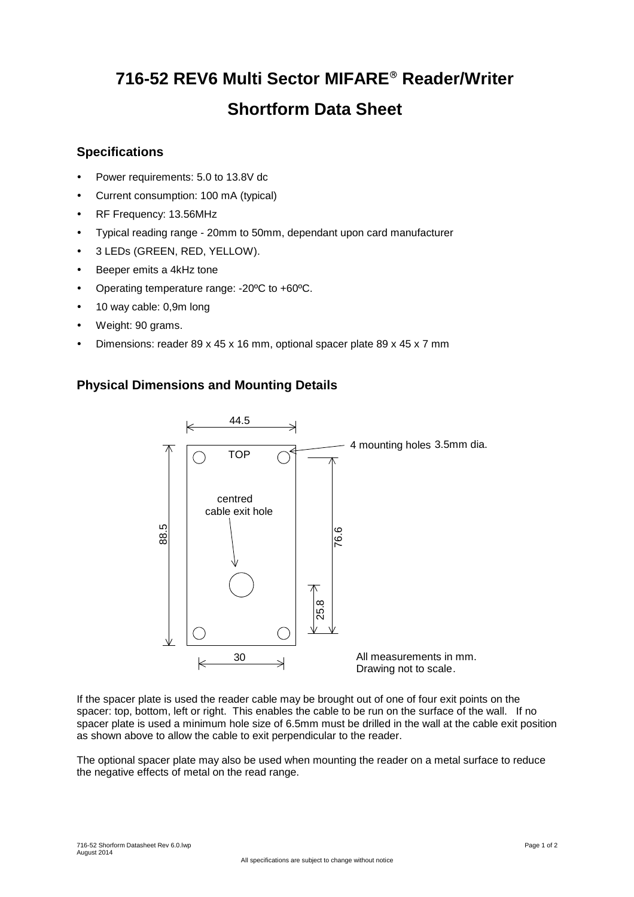# **716-52 REV6 Multi Sector MIFARE Reader/Writer Shortform Data Sheet**

### **Specifications**

- Power requirements: 5.0 to 13.8V dc
- Current consumption: 100 mA (typical)
- RF Frequency: 13.56MHz
- Typical reading range 20mm to 50mm, dependant upon card manufacturer
- 3 LEDs (GREEN, RED, YELLOW).
- Beeper emits a 4kHz tone
- Operating temperature range: -20ºC to +60ºC.
- 10 way cable: 0,9m long
- Weight: 90 grams.
- Dimensions: reader 89 x 45 x 16 mm, optional spacer plate 89 x 45 x 7 mm

## **Physical Dimensions and Mounting Details**



If the spacer plate is used the reader cable may be brought out of one of four exit points on the spacer: top, bottom, left or right. This enables the cable to be run on the surface of the wall. If no spacer plate is used a minimum hole size of 6.5mm must be drilled in the wall at the cable exit position as shown above to allow the cable to exit perpendicular to the reader.

The optional spacer plate may also be used when mounting the reader on a metal surface to reduce the negative effects of metal on the read range.